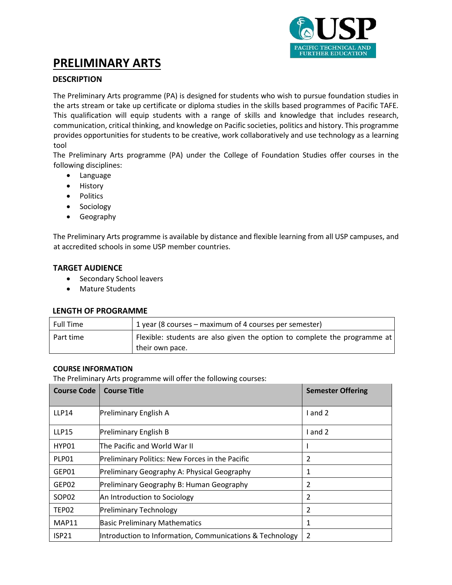

# **PRELIMINARY ARTS**

# **DESCRIPTION**

The Preliminary Arts programme (PA) is designed for students who wish to pursue foundation studies in the arts stream or take up certificate or diploma studies in the skills based programmes of Pacific TAFE. This qualification will equip students with a range of skills and knowledge that includes research, communication, critical thinking, and knowledge on Pacific societies, politics and history. This programme provides opportunities for students to be creative, work collaboratively and use technology as a learning tool

The Preliminary Arts programme (PA) under the College of Foundation Studies offer courses in the following disciplines:

- Language
- History
- Politics
- Sociology
- Geography

The Preliminary Arts programme is available by distance and flexible learning from all USP campuses, and at accredited schools in some USP member countries.

#### **TARGET AUDIENCE**

- Secondary School leavers
- Mature Students

#### **LENGTH OF PROGRAMME**

| <b>Full Time</b> | 1 year (8 courses – maximum of 4 courses per semester)                    |
|------------------|---------------------------------------------------------------------------|
| Part time        | Flexible: students are also given the option to complete the programme at |
|                  | their own pace.                                                           |

#### **COURSE INFORMATION**

The Preliminary Arts programme will offer the following courses:

| <b>Course Code</b> | <b>Course Title</b>                                      | <b>Semester Offering</b> |
|--------------------|----------------------------------------------------------|--------------------------|
| <b>LLP14</b>       | Preliminary English A                                    | $1$ and $2$              |
| <b>LLP15</b>       | Preliminary English B                                    | I and 2                  |
| HYP01              | lThe Pacific and World War II                            |                          |
| PLP01              | Preliminary Politics: New Forces in the Pacific          | $\overline{2}$           |
| GEP01              | Preliminary Geography A: Physical Geography              | $\mathbf{1}$             |
| GEP02              | Preliminary Geography B: Human Geography                 | $\overline{2}$           |
| SOP <sub>02</sub>  | An Introduction to Sociology                             | $\overline{2}$           |
| TEP02              | <b>Preliminary Technology</b>                            | $\overline{2}$           |
| MAP11              | <b>Basic Preliminary Mathematics</b>                     | $\mathbf{1}$             |
| <b>ISP21</b>       | Introduction to Information, Communications & Technology | $\overline{2}$           |